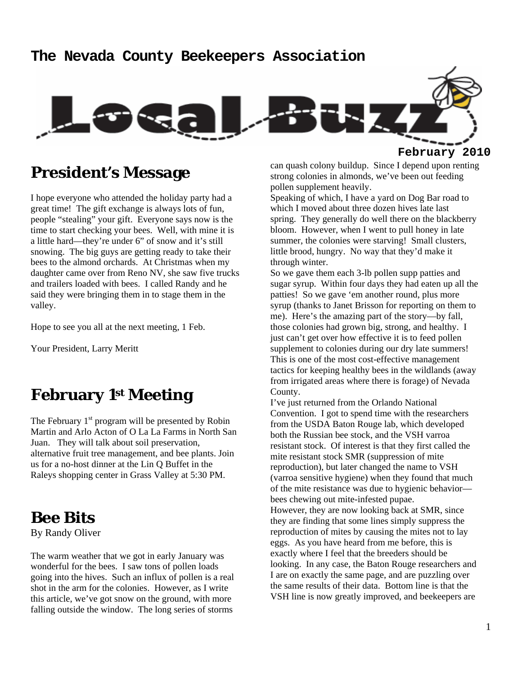#### **The Nevada County Beekeepers Association**



### **President's Message**

I hope everyone who attended the holiday party had a great time! The gift exchange is always lots of fun, people "stealing" your gift. Everyone says now is the time to start checking your bees. Well, with mine it is a little hard—they're under 6" of snow and it's still snowing. The big guys are getting ready to take their bees to the almond orchards. At Christmas when my daughter came over from Reno NV, she saw five trucks and trailers loaded with bees. I called Randy and he said they were bringing them in to stage them in the valley.

Hope to see you all at the next meeting, 1 Feb.

Your President, Larry Meritt

### **February 1st Meeting**

The February  $1<sup>st</sup>$  program will be presented by Robin Martin and Arlo Acton of O La La Farms in North San Juan. They will talk about soil preservation, alternative fruit tree management, and bee plants. Join us for a no-host dinner at the Lin Q Buffet in the Raleys shopping center in Grass Valley at 5:30 PM.

### **Bee Bits**

By Randy Oliver

The warm weather that we got in early January was wonderful for the bees. I saw tons of pollen loads going into the hives. Such an influx of pollen is a real shot in the arm for the colonies. However, as I write this article, we've got snow on the ground, with more falling outside the window. The long series of storms

can quash colony buildup. Since I depend upon renting strong colonies in almonds, we've been out feeding pollen supplement heavily.

Speaking of which, I have a yard on Dog Bar road to which I moved about three dozen hives late last spring. They generally do well there on the blackberry bloom. However, when I went to pull honey in late summer, the colonies were starving! Small clusters, little brood, hungry. No way that they'd make it through winter.

So we gave them each 3-lb pollen supp patties and sugar syrup. Within four days they had eaten up all the patties! So we gave 'em another round, plus more syrup (thanks to Janet Brisson for reporting on them to me). Here's the amazing part of the story—by fall, those colonies had grown big, strong, and healthy. I just can't get over how effective it is to feed pollen supplement to colonies during our dry late summers! This is one of the most cost-effective management tactics for keeping healthy bees in the wildlands (away from irrigated areas where there is forage) of Nevada County.

I've just returned from the Orlando National Convention. I got to spend time with the researchers from the USDA Baton Rouge lab, which developed both the Russian bee stock, and the VSH varroa resistant stock. Of interest is that they first called the mite resistant stock SMR (suppression of mite reproduction), but later changed the name to VSH (varroa sensitive hygiene) when they found that much of the mite resistance was due to hygienic behavior bees chewing out mite-infested pupae. However, they are now looking back at SMR, since they are finding that some lines simply suppress the reproduction of mites by causing the mites not to lay eggs. As you have heard from me before, this is exactly where I feel that the breeders should be looking. In any case, the Baton Rouge researchers and I are on exactly the same page, and are puzzling over the same results of their data. Bottom line is that the VSH line is now greatly improved, and beekeepers are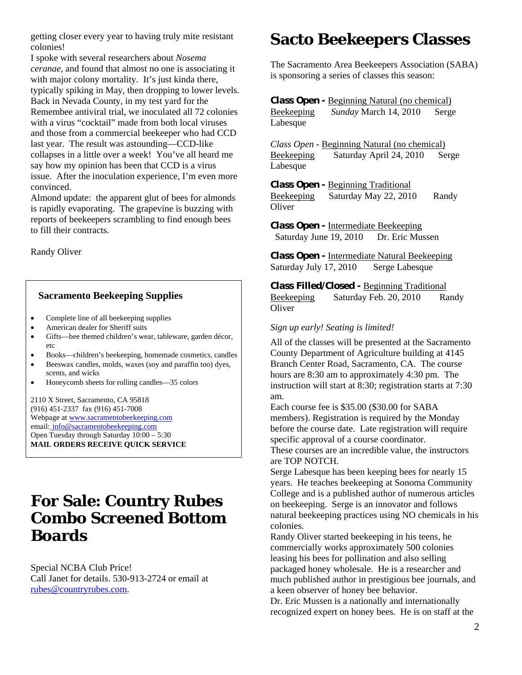getting closer every year to having truly mite resistant colonies!

I spoke with several researchers about *Nosema ceranae*, and found that almost no one is associating it with major colony mortality. It's just kinda there, typically spiking in May, then dropping to lower levels. Back in Nevada County, in my test yard for the Remembee antiviral trial, we inoculated all 72 colonies with a virus "cocktail" made from both local viruses and those from a commercial beekeeper who had CCD last year. The result was astounding—CCD-like collapses in a little over a week! You've all heard me say how my opinion has been that CCD is a virus issue. After the inoculation experience, I'm even more convinced.

Almond update: the apparent glut of bees for almonds is rapidly evaporating. The grapevine is buzzing with reports of beekeepers scrambling to find enough bees to fill their contracts.

Randy Oliver

#### **Sacramento Beekeeping Supplies**

- Complete line of all beekeeping supplies
- American dealer for Sheriff suits
- Gifts—bee themed children's wear, tableware, garden décor, etc
- Books—children's beekeeping, homemade cosmetics, candles
- Beeswax candles, molds, waxes (soy and paraffin too) dyes, scents, and wicks
- Honeycomb sheets for rolling candles—35 colors

2110 X Street, Sacramento, CA 95818 (916) 451-2337 fax (916) 451-7008 Webpage at www.sacramentobeekeeping.com email: info@sacramentobeekeeping.com Open Tuesday through Saturday 10:00 – 5:30 **MAIL ORDERS RECEIVE QUICK SERVICE** 

## **For Sale: Country Rubes Combo Screened Bottom Boards**

Special NCBA Club Price! Call Janet for details. 530-913-2724 or email at rubes@countryrubes.com.

# **Sacto Beekeepers Classes**

The Sacramento Area Beekeepers Association (SABA) is sponsoring a series of classes this season:

*Class Open -* Beginning Natural (no chemical) Beekeeping *Sunday* March 14, 2010 Serge Labesque

*Class Open -* Beginning Natural (no chemical) Beekeeping Saturday April 24, 2010 Serge Labesque

*Class Open -* Beginning Traditional Beekeeping Saturday May 22, 2010 Randy **Oliver** 

*Class Open -* Intermediate Beekeeping Saturday June 19, 2010 Dr. Eric Mussen

*Class Open -* Intermediate Natural Beekeeping Saturday July 17, 2010 Serge Labesque

*Class Filled/Closed -* Beginning Traditional Beekeeping Saturday Feb. 20, 2010 Randy **Oliver** 

#### *Sign up early! Seating is limited!*

All of the classes will be presented at the Sacramento County Department of Agriculture building at 4145 Branch Center Road, Sacramento, CA. The course hours are 8:30 am to approximately 4:30 pm. The instruction will start at 8:30; registration starts at 7:30 am.

Each course fee is \$35.00 (\$30.00 for SABA members). Registration is required by the Monday before the course date. Late registration will require specific approval of a course coordinator. These courses are an incredible value, the instructors are TOP NOTCH.

Serge Labesque has been keeping bees for nearly 15 years. He teaches beekeeping at Sonoma Community College and is a published author of numerous articles on beekeeping. Serge is an innovator and follows natural beekeeping practices using NO chemicals in his colonies.

Randy Oliver started beekeeping in his teens, he commercially works approximately 500 colonies leasing his bees for pollination and also selling packaged honey wholesale. He is a researcher and much published author in prestigious bee journals, and a keen observer of honey bee behavior.

Dr. Eric Mussen is a nationally and internationally recognized expert on honey bees. He is on staff at the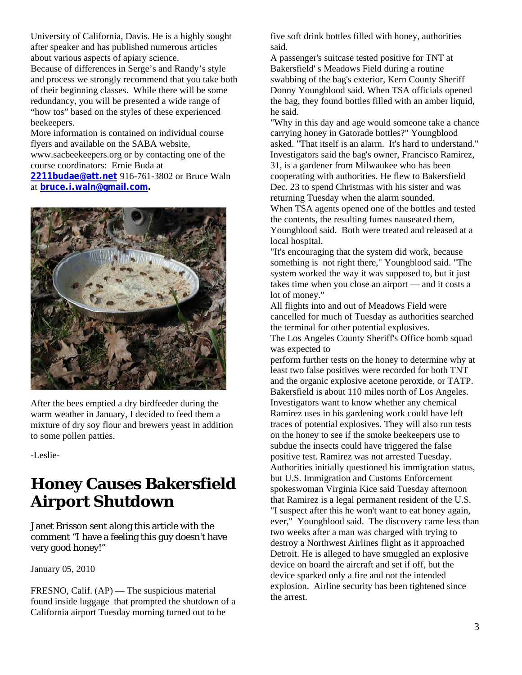University of California, Davis. He is a highly sought after speaker and has published numerous articles about various aspects of apiary science.

Because of differences in Serge's and Randy's style and process we strongly recommend that you take both of their beginning classes. While there will be some redundancy, you will be presented a wide range of "how tos" based on the styles of these experienced beekeepers.

More information is contained on individual course flyers and available on the SABA website,

www.sacbeekeepers.org or by contacting one of the course coordinators: Ernie Buda at

**2211budae@att.net** 916-761-3802 or Bruce Waln at **bruce.i.waln@gmail.com.** 



After the bees emptied a dry birdfeeder during the warm weather in January, I decided to feed them a mixture of dry soy flour and brewers yeast in addition to some pollen patties.

-Leslie-

## **Honey Causes Bakersfield Airport Shutdown**

Janet Brisson sent along this article with the comment "I have a feeling this guy doesn't have very good honey!"

January 05, 2010

FRESNO, Calif. (AP) — The suspicious material found inside luggage that prompted the shutdown of a California airport Tuesday morning turned out to be

five soft drink bottles filled with honey, authorities said.

A passenger's suitcase tested positive for TNT at Bakersfield' s Meadows Field during a routine swabbing of the bag's exterior, Kern County Sheriff Donny Youngblood said. When TSA officials opened the bag, they found bottles filled with an amber liquid, he said.

"Why in this day and age would someone take a chance carrying honey in Gatorade bottles?" Youngblood asked. "That itself is an alarm. It's hard to understand." Investigators said the bag's owner, Francisco Ramirez, 31, is a gardener from Milwaukee who has been cooperating with authorities. He flew to Bakersfield Dec. 23 to spend Christmas with his sister and was returning Tuesday when the alarm sounded. When TSA agents opened one of the bottles and tested the contents, the resulting fumes nauseated them, Youngblood said. Both were treated and released at a local hospital.

"It's encouraging that the system did work, because something is not right there," Youngblood said. "The system worked the way it was supposed to, but it just takes time when you close an airport — and it costs a lot of money."

All flights into and out of Meadows Field were cancelled for much of Tuesday as authorities searched the terminal for other potential explosives.

The Los Angeles County Sheriff's Office bomb squad was expected to

perform further tests on the honey to determine why at least two false positives were recorded for both TNT and the organic explosive acetone peroxide, or TATP. Bakersfield is about 110 miles north of Los Angeles. Investigators want to know whether any chemical Ramirez uses in his gardening work could have left traces of potential explosives. They will also run tests on the honey to see if the smoke beekeepers use to subdue the insects could have triggered the false positive test. Ramirez was not arrested Tuesday. Authorities initially questioned his immigration status, but U.S. Immigration and Customs Enforcement spokeswoman Virginia Kice said Tuesday afternoon that Ramirez is a legal permanent resident of the U.S. "I suspect after this he won't want to eat honey again, ever," Youngblood said. The discovery came less than two weeks after a man was charged with trying to destroy a Northwest Airlines flight as it approached Detroit. He is alleged to have smuggled an explosive device on board the aircraft and set if off, but the device sparked only a fire and not the intended explosion. Airline security has been tightened since the arrest.